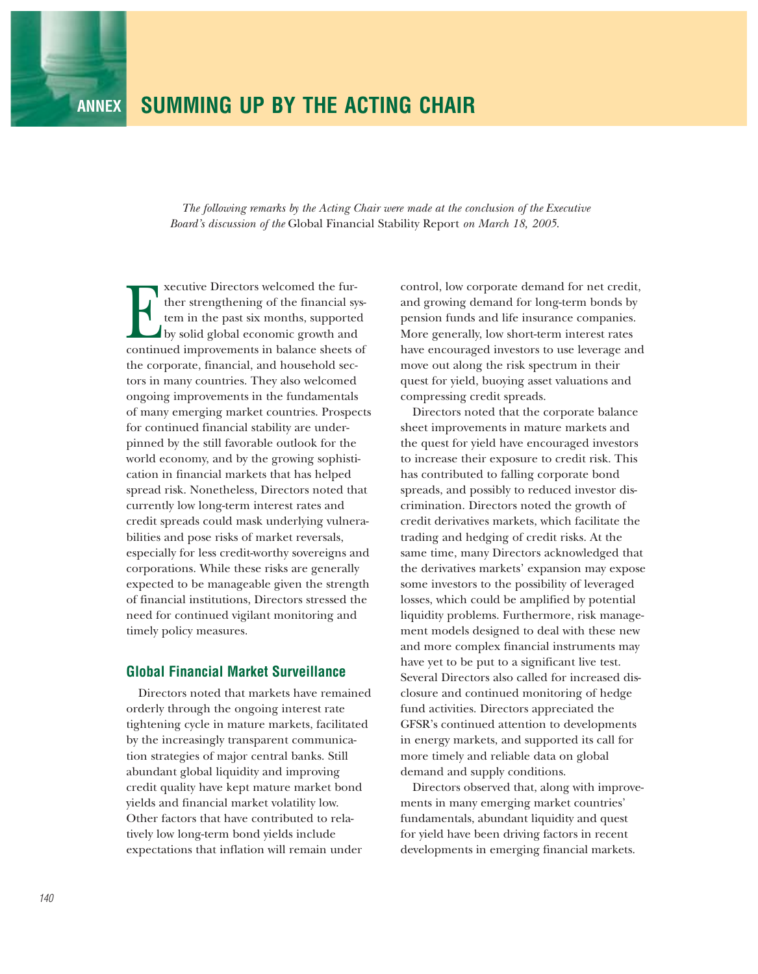## **ANNEX SUMMING UP BY THE ACTING CHAIR**

*The following remarks by the Acting Chair were made at the conclusion of the Executive Board's discussion of the* Global Financial Stability Report *on March 18, 2005*.

Executive Directors welcomed the further strengthening of the financial system in the past six months, supported by solid global economic growth and continued improvements in balance sheets of ther strengthening of the financial system in the past six months, supported by solid global economic growth and the corporate, financial, and household sectors in many countries. They also welcomed ongoing improvements in the fundamentals of many emerging market countries. Prospects for continued financial stability are underpinned by the still favorable outlook for the world economy, and by the growing sophistication in financial markets that has helped spread risk. Nonetheless, Directors noted that currently low long-term interest rates and credit spreads could mask underlying vulnerabilities and pose risks of market reversals, especially for less credit-worthy sovereigns and corporations. While these risks are generally expected to be manageable given the strength of financial institutions, Directors stressed the need for continued vigilant monitoring and timely policy measures.

## **Global Financial Market Surveillance**

Directors noted that markets have remained orderly through the ongoing interest rate tightening cycle in mature markets, facilitated by the increasingly transparent communication strategies of major central banks. Still abundant global liquidity and improving credit quality have kept mature market bond yields and financial market volatility low. Other factors that have contributed to relatively low long-term bond yields include expectations that inflation will remain under

control, low corporate demand for net credit, and growing demand for long-term bonds by pension funds and life insurance companies. More generally, low short-term interest rates have encouraged investors to use leverage and move out along the risk spectrum in their quest for yield, buoying asset valuations and compressing credit spreads.

Directors noted that the corporate balance sheet improvements in mature markets and the quest for yield have encouraged investors to increase their exposure to credit risk. This has contributed to falling corporate bond spreads, and possibly to reduced investor discrimination. Directors noted the growth of credit derivatives markets, which facilitate the trading and hedging of credit risks. At the same time, many Directors acknowledged that the derivatives markets' expansion may expose some investors to the possibility of leveraged losses, which could be amplified by potential liquidity problems. Furthermore, risk management models designed to deal with these new and more complex financial instruments may have yet to be put to a significant live test. Several Directors also called for increased disclosure and continued monitoring of hedge fund activities. Directors appreciated the GFSR's continued attention to developments in energy markets, and supported its call for more timely and reliable data on global demand and supply conditions.

Directors observed that, along with improvements in many emerging market countries' fundamentals, abundant liquidity and quest for yield have been driving factors in recent developments in emerging financial markets.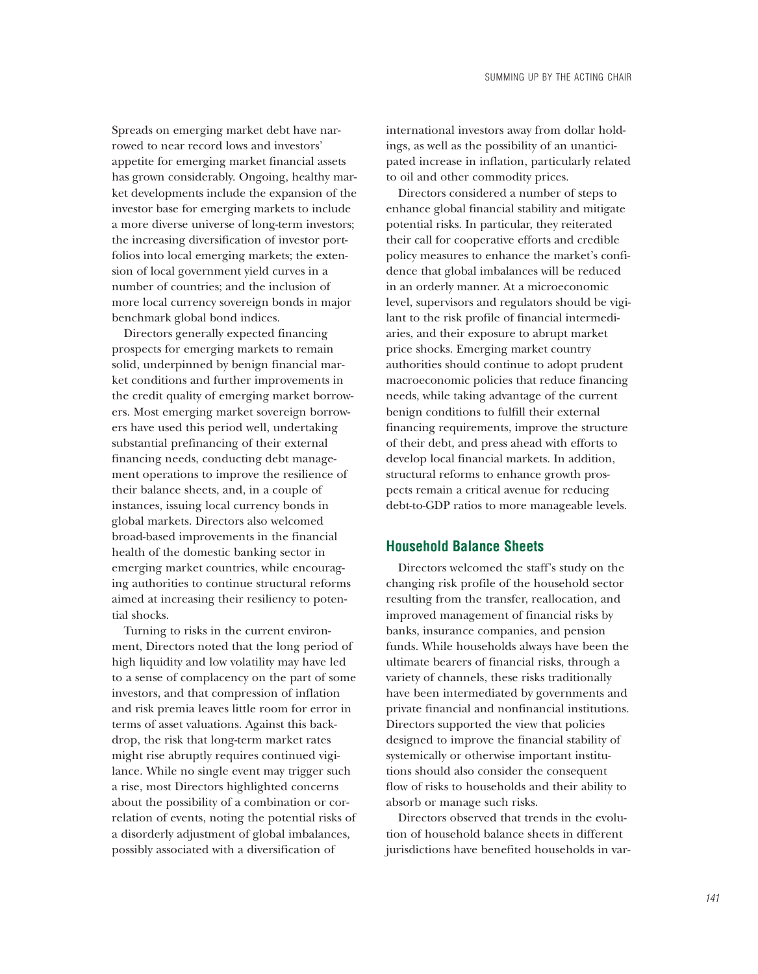Spreads on emerging market debt have narrowed to near record lows and investors' appetite for emerging market financial assets has grown considerably. Ongoing, healthy market developments include the expansion of the investor base for emerging markets to include a more diverse universe of long-term investors; the increasing diversification of investor portfolios into local emerging markets; the extension of local government yield curves in a number of countries; and the inclusion of more local currency sovereign bonds in major benchmark global bond indices.

Directors generally expected financing prospects for emerging markets to remain solid, underpinned by benign financial market conditions and further improvements in the credit quality of emerging market borrowers. Most emerging market sovereign borrowers have used this period well, undertaking substantial prefinancing of their external financing needs, conducting debt management operations to improve the resilience of their balance sheets, and, in a couple of instances, issuing local currency bonds in global markets. Directors also welcomed broad-based improvements in the financial health of the domestic banking sector in emerging market countries, while encouraging authorities to continue structural reforms aimed at increasing their resiliency to potential shocks.

Turning to risks in the current environment, Directors noted that the long period of high liquidity and low volatility may have led to a sense of complacency on the part of some investors, and that compression of inflation and risk premia leaves little room for error in terms of asset valuations. Against this backdrop, the risk that long-term market rates might rise abruptly requires continued vigilance. While no single event may trigger such a rise, most Directors highlighted concerns about the possibility of a combination or correlation of events, noting the potential risks of a disorderly adjustment of global imbalances, possibly associated with a diversification of

international investors away from dollar holdings, as well as the possibility of an unanticipated increase in inflation, particularly related to oil and other commodity prices.

Directors considered a number of steps to enhance global financial stability and mitigate potential risks. In particular, they reiterated their call for cooperative efforts and credible policy measures to enhance the market's confidence that global imbalances will be reduced in an orderly manner. At a microeconomic level, supervisors and regulators should be vigilant to the risk profile of financial intermediaries, and their exposure to abrupt market price shocks. Emerging market country authorities should continue to adopt prudent macroeconomic policies that reduce financing needs, while taking advantage of the current benign conditions to fulfill their external financing requirements, improve the structure of their debt, and press ahead with efforts to develop local financial markets. In addition, structural reforms to enhance growth prospects remain a critical avenue for reducing debt-to-GDP ratios to more manageable levels.

## **Household Balance Sheets**

Directors welcomed the staff's study on the changing risk profile of the household sector resulting from the transfer, reallocation, and improved management of financial risks by banks, insurance companies, and pension funds. While households always have been the ultimate bearers of financial risks, through a variety of channels, these risks traditionally have been intermediated by governments and private financial and nonfinancial institutions. Directors supported the view that policies designed to improve the financial stability of systemically or otherwise important institutions should also consider the consequent flow of risks to households and their ability to absorb or manage such risks.

Directors observed that trends in the evolution of household balance sheets in different jurisdictions have benefited households in var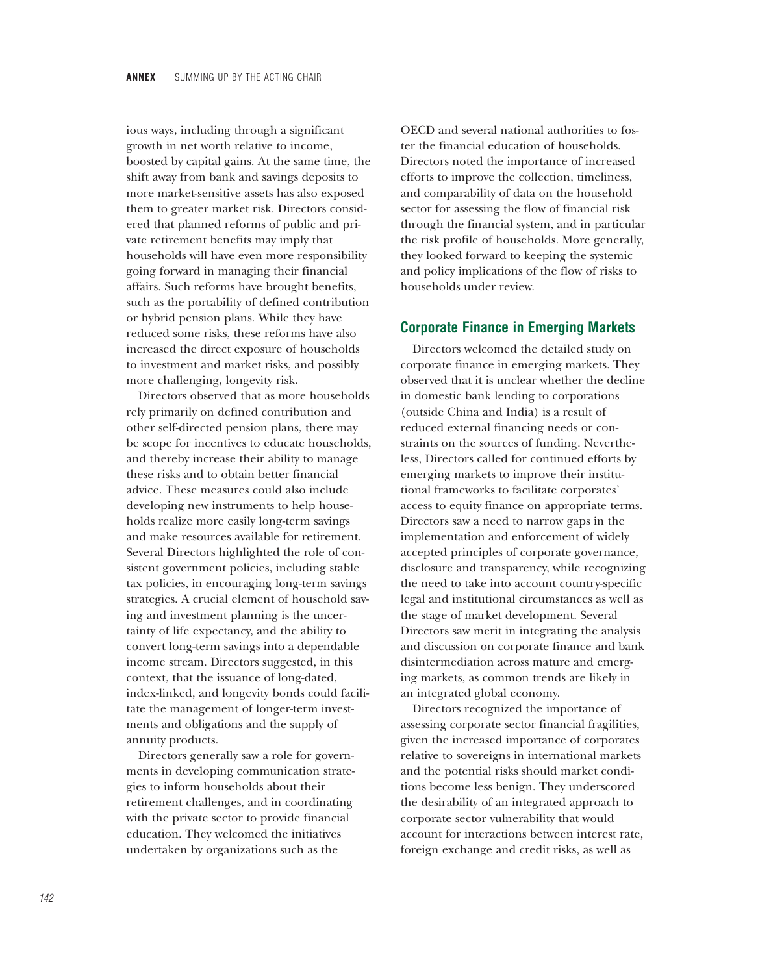ious ways, including through a significant growth in net worth relative to income, boosted by capital gains. At the same time, the shift away from bank and savings deposits to more market-sensitive assets has also exposed them to greater market risk. Directors considered that planned reforms of public and private retirement benefits may imply that households will have even more responsibility going forward in managing their financial affairs. Such reforms have brought benefits, such as the portability of defined contribution or hybrid pension plans. While they have reduced some risks, these reforms have also increased the direct exposure of households to investment and market risks, and possibly more challenging, longevity risk.

Directors observed that as more households rely primarily on defined contribution and other self-directed pension plans, there may be scope for incentives to educate households, and thereby increase their ability to manage these risks and to obtain better financial advice. These measures could also include developing new instruments to help households realize more easily long-term savings and make resources available for retirement. Several Directors highlighted the role of consistent government policies, including stable tax policies, in encouraging long-term savings strategies. A crucial element of household saving and investment planning is the uncertainty of life expectancy, and the ability to convert long-term savings into a dependable income stream. Directors suggested, in this context, that the issuance of long-dated, index-linked, and longevity bonds could facilitate the management of longer-term investments and obligations and the supply of annuity products.

Directors generally saw a role for governments in developing communication strategies to inform households about their retirement challenges, and in coordinating with the private sector to provide financial education. They welcomed the initiatives undertaken by organizations such as the

OECD and several national authorities to foster the financial education of households. Directors noted the importance of increased efforts to improve the collection, timeliness, and comparability of data on the household sector for assessing the flow of financial risk through the financial system, and in particular the risk profile of households. More generally, they looked forward to keeping the systemic and policy implications of the flow of risks to households under review.

## **Corporate Finance in Emerging Markets**

Directors welcomed the detailed study on corporate finance in emerging markets. They observed that it is unclear whether the decline in domestic bank lending to corporations (outside China and India) is a result of reduced external financing needs or constraints on the sources of funding. Nevertheless, Directors called for continued efforts by emerging markets to improve their institutional frameworks to facilitate corporates' access to equity finance on appropriate terms. Directors saw a need to narrow gaps in the implementation and enforcement of widely accepted principles of corporate governance, disclosure and transparency, while recognizing the need to take into account country-specific legal and institutional circumstances as well as the stage of market development. Several Directors saw merit in integrating the analysis and discussion on corporate finance and bank disintermediation across mature and emerging markets, as common trends are likely in an integrated global economy.

Directors recognized the importance of assessing corporate sector financial fragilities, given the increased importance of corporates relative to sovereigns in international markets and the potential risks should market conditions become less benign. They underscored the desirability of an integrated approach to corporate sector vulnerability that would account for interactions between interest rate, foreign exchange and credit risks, as well as